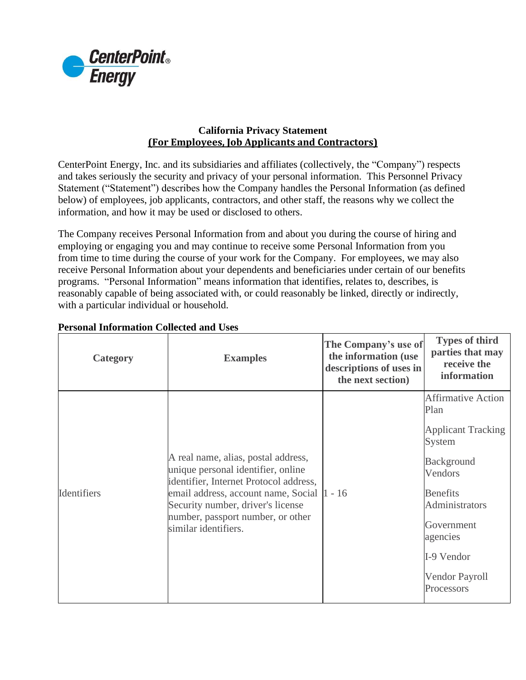

## **California Privacy Statement (For Employees, Job Applicants and Contractors)**

CenterPoint Energy, Inc. and its subsidiaries and affiliates (collectively, the "Company") respects and takes seriously the security and privacy of your personal information. This Personnel Privacy Statement ("Statement") describes how the Company handles the Personal Information (as defined below) of employees, job applicants, contractors, and other staff, the reasons why we collect the information, and how it may be used or disclosed to others.

The Company receives Personal Information from and about you during the course of hiring and employing or engaging you and may continue to receive some Personal Information from you from time to time during the course of your work for the Company. For employees, we may also receive Personal Information about your dependents and beneficiaries under certain of our benefits programs. "Personal Information" means information that identifies, relates to, describes, is reasonably capable of being associated with, or could reasonably be linked, directly or indirectly, with a particular individual or household.

| <b>Category</b> | <b>Examples</b>                                                                                                                                                                                                                                                      | The Company's use of<br>the information (use<br>descriptions of uses in<br>the next section) | <b>Types of third</b><br>parties that may<br>receive the<br>information                                                                                                                                               |
|-----------------|----------------------------------------------------------------------------------------------------------------------------------------------------------------------------------------------------------------------------------------------------------------------|----------------------------------------------------------------------------------------------|-----------------------------------------------------------------------------------------------------------------------------------------------------------------------------------------------------------------------|
| Identifiers     | A real name, alias, postal address,<br>unique personal identifier, online<br>identifier, Internet Protocol address,<br>email address, account name, Social  1 - 16<br>Security number, driver's license<br>number, passport number, or other<br>similar identifiers. |                                                                                              | <b>Affirmative Action</b><br>Plan<br><b>Applicant Tracking</b><br>System<br><b>Background</b><br>Vendors<br><b>Benefits</b><br>Administrators<br>Government<br>agencies<br>I-9 Vendor<br>Vendor Payroll<br>Processors |

## **Personal Information Collected and Uses**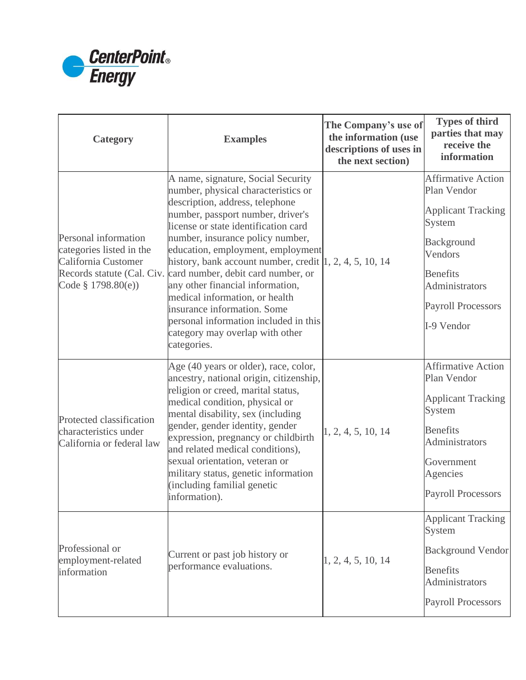

| <b>Category</b>                                                                               | <b>Examples</b>                                                                                                                                                                                                                                                                                                                                                                                                                                                                                                                                                                                   | The Company's use of<br>the information (use<br>descriptions of uses in<br>the next section) | <b>Types of third</b><br>parties that may<br>receive the<br>information                                                                                                                  |
|-----------------------------------------------------------------------------------------------|---------------------------------------------------------------------------------------------------------------------------------------------------------------------------------------------------------------------------------------------------------------------------------------------------------------------------------------------------------------------------------------------------------------------------------------------------------------------------------------------------------------------------------------------------------------------------------------------------|----------------------------------------------------------------------------------------------|------------------------------------------------------------------------------------------------------------------------------------------------------------------------------------------|
| Personal information<br>categories listed in the<br>California Customer<br>Code § 1798.80(e)) | A name, signature, Social Security<br>number, physical characteristics or<br>description, address, telephone<br>number, passport number, driver's<br>license or state identification card<br>number, insurance policy number,<br>education, employment, employment<br>history, bank account number, credit $ 1, 2, 4, 5, 10, 14$<br>Records statute (Cal. Civ. card number, debit card number, or<br>any other financial information,<br>medical information, or health<br>insurance information. Some<br>personal information included in this<br>category may overlap with other<br>categories. |                                                                                              | <b>Affirmative Action</b><br>Plan Vendor<br><b>Applicant Tracking</b><br>System<br>Background<br>Vendors<br><b>Benefits</b><br>Administrators<br><b>Payroll Processors</b><br>I-9 Vendor |
| Protected classification<br>characteristics under<br>California or federal law                | Age (40 years or older), race, color,<br>ancestry, national origin, citizenship,<br>religion or creed, marital status,<br>medical condition, physical or<br>mental disability, sex (including<br>gender, gender identity, gender<br>expression, pregnancy or childbirth<br>and related medical conditions),<br>sexual orientation, veteran or<br>military status, genetic information<br>(including familial genetic<br>information).                                                                                                                                                             | 1, 2, 4, 5, 10, 14                                                                           | <b>Affirmative Action</b><br>Plan Vendor<br><b>Applicant Tracking</b><br>System<br><b>Benefits</b><br>Administrators<br>Government<br>Agencies<br><b>Payroll Processors</b>              |
| Professional or<br>employment-related<br>information                                          | Current or past job history or<br>performance evaluations.                                                                                                                                                                                                                                                                                                                                                                                                                                                                                                                                        | 1, 2, 4, 5, 10, 14                                                                           | <b>Applicant Tracking</b><br>System<br><b>Background Vendor</b><br><b>Benefits</b><br>Administrators<br><b>Payroll Processors</b>                                                        |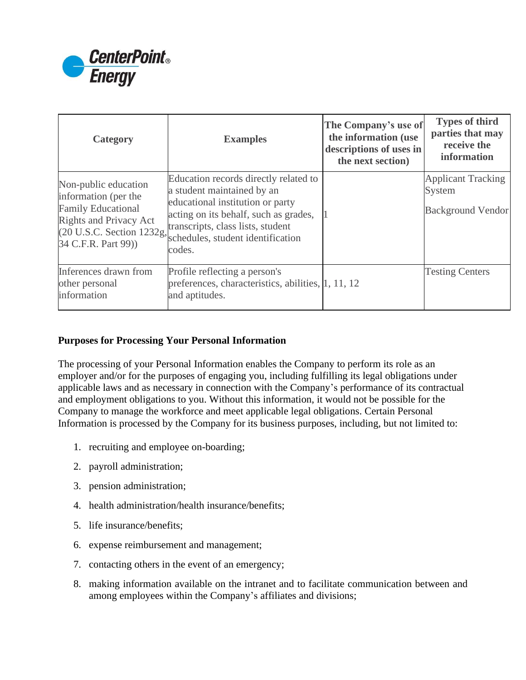

| Category                                                                                                                                                       | <b>Examples</b>                                                                                                                                                                                                                      | The Company's use of<br>the information (use<br>descriptions of uses in<br>the next section) | <b>Types of third</b><br>parties that may<br>receive the<br>information |
|----------------------------------------------------------------------------------------------------------------------------------------------------------------|--------------------------------------------------------------------------------------------------------------------------------------------------------------------------------------------------------------------------------------|----------------------------------------------------------------------------------------------|-------------------------------------------------------------------------|
| Non-public education<br>information (per the<br><b>Family Educational</b><br><b>Rights and Privacy Act</b><br>(20 U.S.C. Section 1232g,<br>34 C.F.R. Part 99)) | Education records directly related to<br>a student maintained by an<br>educational institution or party<br>acting on its behalf, such as grades,<br>transcripts, class lists, student<br>schedules, student identification<br>codes. |                                                                                              | <b>Applicant Tracking</b><br>System<br><b>Background Vendor</b>         |
| Inferences drawn from<br>other personal<br>information                                                                                                         | Profile reflecting a person's<br>preferences, characteristics, abilities, 1, 11, 12<br>and aptitudes.                                                                                                                                |                                                                                              | <b>Testing Centers</b>                                                  |

## **Purposes for Processing Your Personal Information**

The processing of your Personal Information enables the Company to perform its role as an employer and/or for the purposes of engaging you, including fulfilling its legal obligations under applicable laws and as necessary in connection with the Company's performance of its contractual and employment obligations to you. Without this information, it would not be possible for the Company to manage the workforce and meet applicable legal obligations. Certain Personal Information is processed by the Company for its business purposes, including, but not limited to:

- 1. recruiting and employee on-boarding;
- 2. payroll administration;
- 3. pension administration;
- 4. health administration/health insurance/benefits;
- 5. life insurance/benefits;
- 6. expense reimbursement and management;
- 7. contacting others in the event of an emergency;
- 8. making information available on the intranet and to facilitate communication between and among employees within the Company's affiliates and divisions;